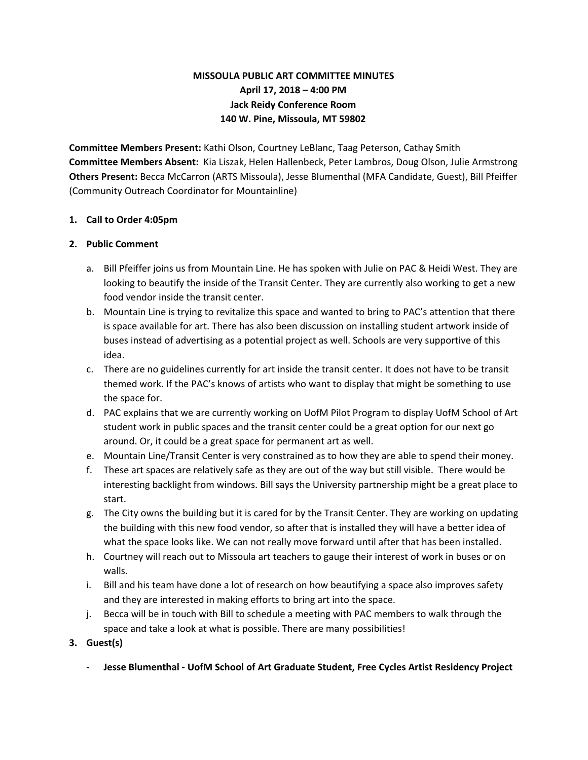# **MISSOULA PUBLIC ART COMMITTEE MINUTES April 17, 2018 – 4:00 PM Jack Reidy Conference Room 140 W. Pine, Missoula, MT 59802**

**Committee Members Present:** Kathi Olson, Courtney LeBlanc, Taag Peterson, Cathay Smith **Committee Members Absent:** Kia Liszak, Helen Hallenbeck, Peter Lambros, Doug Olson, Julie Armstrong **Others Present:** Becca McCarron (ARTS Missoula), Jesse Blumenthal (MFA Candidate, Guest), Bill Pfeiffer (Community Outreach Coordinator for Mountainline)

#### **1. Call to Order 4:05pm**

#### **2. Public Comment**

- a. Bill Pfeiffer joins us from Mountain Line. He has spoken with Julie on PAC & Heidi West. They are looking to beautify the inside of the Transit Center. They are currently also working to get a new food vendor inside the transit center.
- b. Mountain Line is trying to revitalize this space and wanted to bring to PAC's attention that there is space available for art. There has also been discussion on installing student artwork inside of buses instead of advertising as a potential project as well. Schools are very supportive of this idea.
- c. There are no guidelines currently for art inside the transit center. It does not have to be transit themed work. If the PAC's knows of artists who want to display that might be something to use the space for.
- d. PAC explains that we are currently working on UofM Pilot Program to display UofM School of Art student work in public spaces and the transit center could be a great option for our next go around. Or, it could be a great space for permanent art as well.
- e. Mountain Line/Transit Center is very constrained as to how they are able to spend their money.
- f. These art spaces are relatively safe as they are out of the way but still visible. There would be interesting backlight from windows. Bill says the University partnership might be a great place to start.
- g. The City owns the building but it is cared for by the Transit Center. They are working on updating the building with this new food vendor, so after that is installed they will have a better idea of what the space looks like. We can not really move forward until after that has been installed.
- h. Courtney will reach out to Missoula art teachers to gauge their interest of work in buses or on walls.
- i. Bill and his team have done a lot of research on how beautifying a space also improves safety and they are interested in making efforts to bring art into the space.
- j. Becca will be in touch with Bill to schedule a meeting with PAC members to walk through the space and take a look at what is possible. There are many possibilities!
- **3. Guest(s)**
	- **- Jesse Blumenthal - UofM School of Art Graduate Student, Free Cycles Artist Residency Project**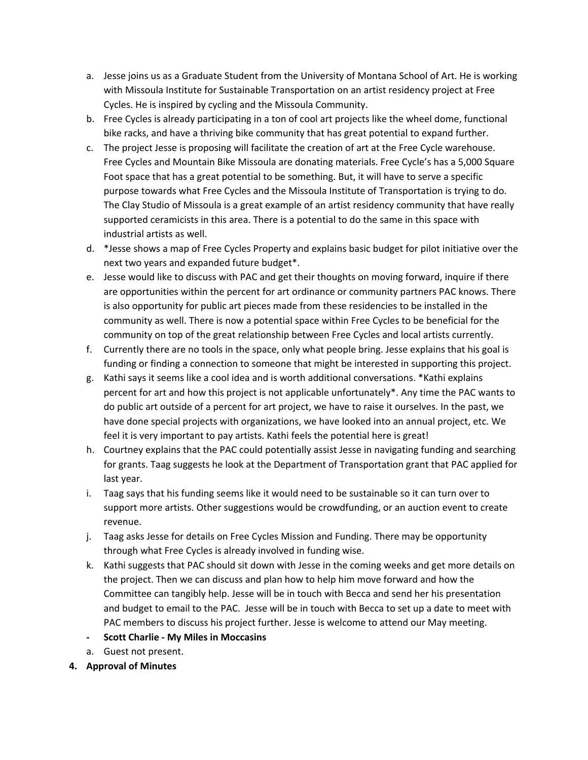- a. Jesse joins us as a Graduate Student from the University of Montana School of Art. He is working with Missoula Institute for Sustainable Transportation on an artist residency project at Free Cycles. He is inspired by cycling and the Missoula Community.
- b. Free Cycles is already participating in a ton of cool art projects like the wheel dome, functional bike racks, and have a thriving bike community that has great potential to expand further.
- c. The project Jesse is proposing will facilitate the creation of art at the Free Cycle warehouse. Free Cycles and Mountain Bike Missoula are donating materials. Free Cycle's has a 5,000 Square Foot space that has a great potential to be something. But, it will have to serve a specific purpose towards what Free Cycles and the Missoula Institute of Transportation is trying to do. The Clay Studio of Missoula is a great example of an artist residency community that have really supported ceramicists in this area. There is a potential to do the same in this space with industrial artists as well.
- d. \*Jesse shows a map of Free Cycles Property and explains basic budget for pilot initiative over the next two years and expanded future budget\*.
- e. Jesse would like to discuss with PAC and get their thoughts on moving forward, inquire if there are opportunities within the percent for art ordinance or community partners PAC knows. There is also opportunity for public art pieces made from these residencies to be installed in the community as well. There is now a potential space within Free Cycles to be beneficial for the community on top of the great relationship between Free Cycles and local artists currently.
- f. Currently there are no tools in the space, only what people bring. Jesse explains that his goal is funding or finding a connection to someone that might be interested in supporting this project.
- g. Kathi says it seems like a cool idea and is worth additional conversations. \*Kathi explains percent for art and how this project is not applicable unfortunately\*. Any time the PAC wants to do public art outside of a percent for art project, we have to raise it ourselves. In the past, we have done special projects with organizations, we have looked into an annual project, etc. We feel it is very important to pay artists. Kathi feels the potential here is great!
- h. Courtney explains that the PAC could potentially assist Jesse in navigating funding and searching for grants. Taag suggests he look at the Department of Transportation grant that PAC applied for last year.
- i. Taag says that his funding seems like it would need to be sustainable so it can turn over to support more artists. Other suggestions would be crowdfunding, or an auction event to create revenue.
- j. Taag asks Jesse for details on Free Cycles Mission and Funding. There may be opportunity through what Free Cycles is already involved in funding wise.
- k. Kathi suggests that PAC should sit down with Jesse in the coming weeks and get more details on the project. Then we can discuss and plan how to help him move forward and how the Committee can tangibly help. Jesse will be in touch with Becca and send her his presentation and budget to email to the PAC. Jesse will be in touch with Becca to set up a date to meet with PAC members to discuss his project further. Jesse is welcome to attend our May meeting.
- **- Scott Charlie - My Miles in Moccasins**
- a. Guest not present.
- **4. Approval of Minutes**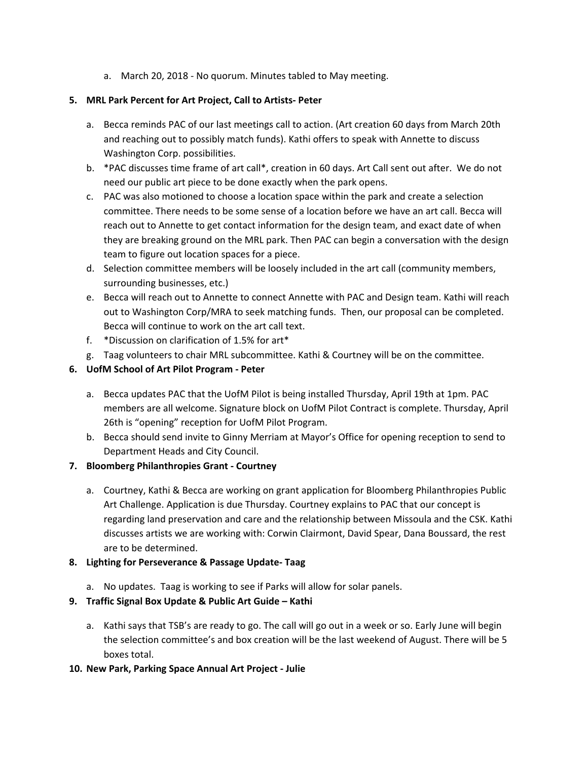a. March 20, 2018 - No quorum. Minutes tabled to May meeting.

### **5. MRL Park Percent for Art Project, Call to Artists- Peter**

- a. Becca reminds PAC of our last meetings call to action. (Art creation 60 days from March 20th and reaching out to possibly match funds). Kathi offers to speak with Annette to discuss Washington Corp. possibilities.
- b. \*PAC discusses time frame of art call\*, creation in 60 days. Art Call sent out after. We do not need our public art piece to be done exactly when the park opens.
- c. PAC was also motioned to choose a location space within the park and create a selection committee. There needs to be some sense of a location before we have an art call. Becca will reach out to Annette to get contact information for the design team, and exact date of when they are breaking ground on the MRL park. Then PAC can begin a conversation with the design team to figure out location spaces for a piece.
- d. Selection committee members will be loosely included in the art call (community members, surrounding businesses, etc.)
- e. Becca will reach out to Annette to connect Annette with PAC and Design team. Kathi will reach out to Washington Corp/MRA to seek matching funds. Then, our proposal can be completed. Becca will continue to work on the art call text.
- f. \*Discussion on clarification of 1.5% for art\*
- g. Taag volunteers to chair MRL subcommittee. Kathi & Courtney will be on the committee.

# **6. UofM School of Art Pilot Program - Peter**

- a. Becca updates PAC that the UofM Pilot is being installed Thursday, April 19th at 1pm. PAC members are all welcome. Signature block on UofM Pilot Contract is complete. Thursday, April 26th is "opening" reception for UofM Pilot Program.
- b. Becca should send invite to Ginny Merriam at Mayor's Office for opening reception to send to Department Heads and City Council.

### **7. Bloomberg Philanthropies Grant - Courtney**

a. Courtney, Kathi & Becca are working on grant application for Bloomberg Philanthropies Public Art Challenge. Application is due Thursday. Courtney explains to PAC that our concept is regarding land preservation and care and the relationship between Missoula and the CSK. Kathi discusses artists we are working with: Corwin Clairmont, David Spear, Dana Boussard, the rest are to be determined.

### **8. Lighting for Perseverance & Passage Update- Taag**

a. No updates. Taag is working to see if Parks will allow for solar panels.

### **9. Traffic Signal Box Update & Public Art Guide – Kathi**

a. Kathi says that TSB's are ready to go. The call will go out in a week or so. Early June will begin the selection committee's and box creation will be the last weekend of August. There will be 5 boxes total.

### **10. New Park, Parking Space Annual Art Project - Julie**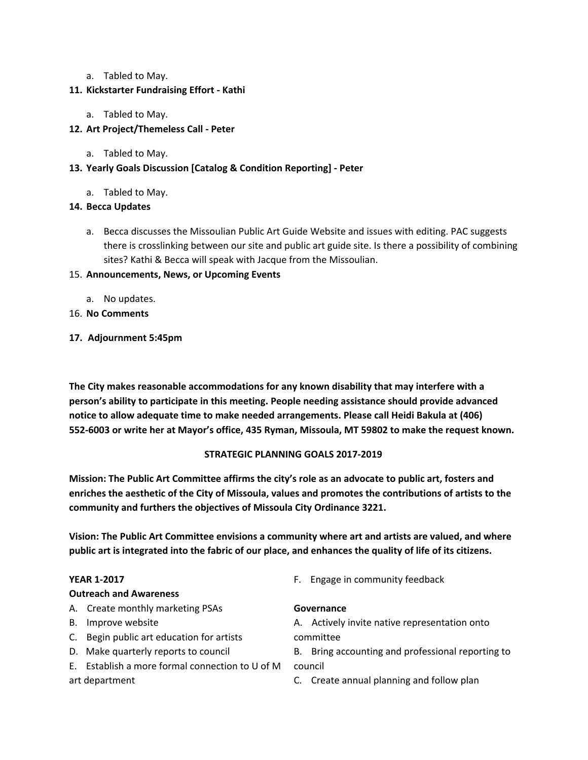a. Tabled to May.

## **11. Kickstarter Fundraising Effort - Kathi**

a. Tabled to May.

# **12. Art Project/Themeless Call - Peter**

a. Tabled to May.

# **13. Yearly Goals Discussion [Catalog & Condition Reporting] - Peter**

a. Tabled to May.

# **14. Becca Updates**

a. Becca discusses the Missoulian Public Art Guide Website and issues with editing. PAC suggests there is crosslinking between our site and public art guide site. Is there a possibility of combining sites? Kathi & Becca will speak with Jacque from the Missoulian.

# 15. **Announcements, News, or Upcoming Events**

- a. No updates.
- 16. **No Comments**
- **17. Adjournment 5:45pm**

**The City makes reasonable accommodations for any known disability that may interfere with a person's ability to participate in this meeting. People needing assistance should provide advanced notice to allow adequate time to make needed arrangements. Please call Heidi Bakula at (406) 552-6003 or write her at Mayor's office, 435 Ryman, Missoula, MT 59802 to make the request known.**

# **STRATEGIC PLANNING GOALS 2017-2019**

**Mission: The Public Art Committee affirms the city's role as an advocate to public art, fosters and enriches the aesthetic of the City of Missoula, values and promotes the contributions of artists to the community and furthers the objectives of Missoula City Ordinance 3221.**

**Vision: The Public Art Committee envisions a community where art and artists are valued, and where** public art is integrated into the fabric of our place, and enhances the quality of life of its citizens.

### **YEAR 1-2017**

### **Outreach and Awareness**

- A. Create monthly marketing PSAs
- B. Improve website
- C. Begin public art education for artists
- D. Make quarterly reports to council
- E. Establish a more formal connection to U of M art department
- F. Engage in community feedback

### **Governance**

A. Actively invite native representation onto committee

B. Bring accounting and professional reporting to council

C. Create annual planning and follow plan